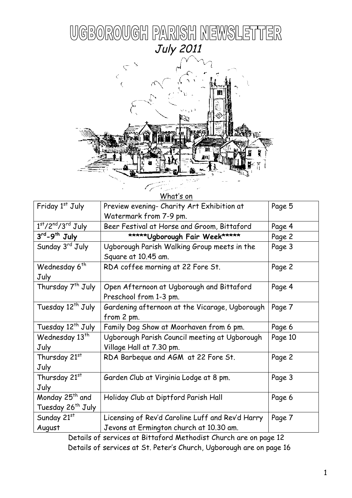



| What's on                     |                                                  |         |  |  |
|-------------------------------|--------------------------------------------------|---------|--|--|
| Friday 1st July               | Preview evening- Charity Art Exhibition at       | Page 5  |  |  |
|                               | Watermark from 7-9 pm.                           |         |  |  |
| $1st/2nd/3rd$ July            | Beer Festival at Horse and Groom, Bittaford      | Page 4  |  |  |
| 3rd-9th July                  | ***** Ugborough Fair Week*****                   | Page 2  |  |  |
| Sunday 3 <sup>rd</sup> July   | Ugborough Parish Walking Group meets in the      | Page 3  |  |  |
|                               | Square at 10.45 am.                              |         |  |  |
| Wednesday 6 <sup>th</sup>     | RDA coffee morning at 22 Fore St.                | Page 2  |  |  |
| July                          |                                                  |         |  |  |
| Thursday 7 <sup>th</sup> July | Open Afternoon at Ugborough and Bittaford        | Page 4  |  |  |
|                               | Preschool from 1-3 pm.                           |         |  |  |
| Tuesday 12 <sup>th</sup> July | Gardening afternoon at the Vicarage, Ugborough   | Page 7  |  |  |
|                               | from 2 pm.                                       |         |  |  |
| Tuesday 12 <sup>th</sup> July | Family Dog Show at Moorhaven from 6 pm.          | Page 6  |  |  |
| Wednesday 13 <sup>th</sup>    | Ugborough Parish Council meeting at Ugborough    | Page 10 |  |  |
| July                          | Village Hall at 7.30 pm.                         |         |  |  |
| Thursday 21st                 | RDA Barbeque and AGM at 22 Fore St.              | Page 2  |  |  |
| July                          |                                                  |         |  |  |
| Thursday 21st                 | Garden Club at Virginia Lodge at 8 pm.           | Page 3  |  |  |
| July                          |                                                  |         |  |  |
| Monday 25 <sup>th</sup> and   | Holiday Club at Diptford Parish Hall             | Page 6  |  |  |
| Tuesday 26 <sup>th</sup> July |                                                  |         |  |  |
| Sunday 21st                   | Licensing of Rev'd Caroline Luff and Rev'd Harry | Page 7  |  |  |
| August                        | Jevons at Ermington church at 10.30 am.          |         |  |  |

Details of services at Bittaford Methodist Church are on page 12 Details of services at St. Peter's Church, Ugborough are on page 16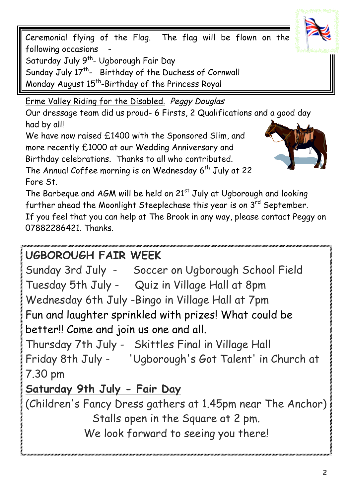Ceremonial flying of the Flag. The flag will be flown on the following occasions -

Saturday July 9<sup>th</sup>- Ugborough Fair Day

Sunday July 17<sup>th</sup>- Birthday of the Duchess of Cornwall

Monday August 15<sup>th</sup>-Birthday of the Princess Royal

Erme Valley Riding for the Disabled. Peggy Douglas

Our dressage team did us proud- 6 Firsts, 2 Qualifications and a good day had by all!

We have now raised £1400 with the Sponsored Slim, and more recently £1000 at our Wedding Anniversary and Birthday celebrations. Thanks to all who contributed.

The Annual Coffee morning is on Wednesday 6<sup>th</sup> July at 22 Fore St.

The Barbeque and AGM will be held on 21<sup>st</sup> July at Ugborough and looking further ahead the Moonlight Steeplechase this year is on  $3<sup>rd</sup>$  September. If you feel that you can help at The Brook in any way, please contact Peggy on 07882286421. Thanks.

# **UGBOROUGH FAIR WEEK**

Sunday 3rd July - Soccer on Ugborough School Field Tuesday 5th July - Quiz in Village Hall at 8pm Wednesday 6th July -Bingo in Village Hall at 7pm Fun and laughter sprinkled with prizes! What could be better!! Come and join us one and all.

Thursday 7th July - Skittles Final in Village Hall Friday 8th July - 'Ugborough's Got Talent' in Church at

7.30 pm

# **Saturday 9th July - Fair Day**

(Children's Fancy Dress gathers at 1.45pm near The Anchor) Stalls open in the Square at 2 pm.

We look forward to seeing you there!



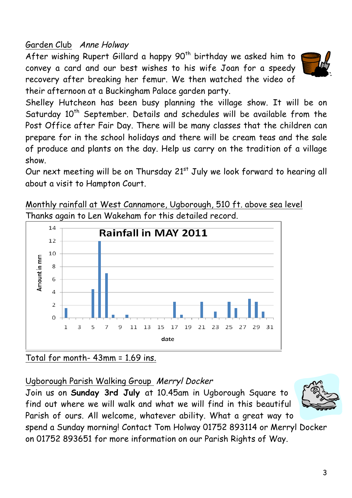## Garden Club Anne Holway

After wishing Rupert Gillard a happy 90<sup>th</sup> birthday we asked him to convey a card and our best wishes to his wife Joan for a speedy recovery after breaking her femur. We then watched the video of their afternoon at a Buckingham Palace garden party.



Shelley Hutcheon has been busy planning the village show. It will be on Saturday  $10<sup>th</sup>$  September. Details and schedules will be available from the Post Office after Fair Day. There will be many classes that the children can prepare for in the school holidays and there will be cream teas and the sale of produce and plants on the day. Help us carry on the tradition of a village show.

Our next meeting will be on Thursday  $21<sup>st</sup>$  July we look forward to hearing all about a visit to Hampton Court.

Monthly rainfall at West Cannamore, Ugborough, 510 ft. above sea level Thanks again to Len Wakeham for this detailed record.



Total for month- 43mm = 1.69 ins.

Ugborough Parish Walking Group Merryl Docker

Join us on **Sunday 3rd July** at 10.45am in Ugborough Square to find out where we will walk and what we will find in this beautiful Parish of ours. All welcome, whatever ability. What a great way to



spend a Sunday morning! Contact Tom Holway 01752 893114 or Merryl Docker on 01752 893651 for more information on our Parish Rights of Way.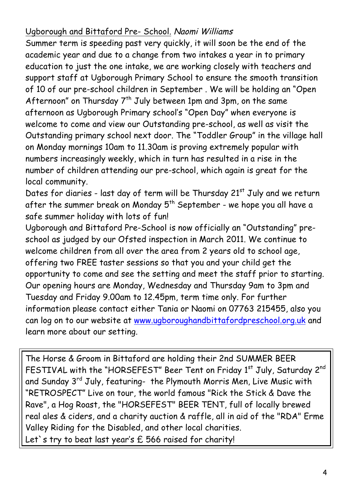## Ugborough and Bittaford Pre- School. Naomi Williams

Summer term is speeding past very quickly, it will soon be the end of the academic year and due to a change from two intakes a year in to primary education to just the one intake, we are working closely with teachers and support staff at Ugborough Primary School to ensure the smooth transition of 10 of our pre-school children in September . We will be holding an "Open Afternoon" on Thursday  $7^{th}$  July between 1pm and 3pm, on the same afternoon as Ugborough Primary school's "Open Day" when everyone is welcome to come and view our Outstanding pre-school, as well as visit the Outstanding primary school next door. The "Toddler Group" in the village hall on Monday mornings 10am to 11.30am is proving extremely popular with numbers increasingly weekly, which in turn has resulted in a rise in the number of children attending our pre-school, which again is great for the local community.

Dates for diaries - last day of term will be Thursday 21<sup>st</sup> July and we return after the summer break on Monday  $5^{th}$  September - we hope you all have a safe summer holiday with lots of fun!

Ugborough and Bittaford Pre-School is now officially an "Outstanding" preschool as judged by our Ofsted inspection in March 2011. We continue to welcome children from all over the area from 2 years old to school age, offering two FREE taster sessions so that you and your child get the opportunity to come and see the setting and meet the staff prior to starting. Our opening hours are Monday, Wednesday and Thursday 9am to 3pm and Tuesday and Friday 9.00am to 12.45pm, term time only. For further information please contact either Tania or Naomi on 07763 215455, also you can log on to our website at www.ugboroughandbittafordpreschool.org.uk and learn more about our setting.

The Horse & Groom in Bittaford are holding their 2nd SUMMER BEER FESTIVAL with the "HORSEFEST" Beer Tent on Friday 1st July, Saturday 2nd and Sunday 3<sup>rd</sup> July, featuring- the Plymouth Morris Men, Live Music with "RETROSPECT" Live on tour, the world famous "Rick the Stick & Dave the Rave", a Hog Roast, the "HORSEFEST" BEER TENT, full of locally brewed real ales & ciders, and a charity auction & raffle, all in aid of the "RDA" Erme Valley Riding for the Disabled, and other local charities. Let's try to beat last year's £ 566 raised for charity!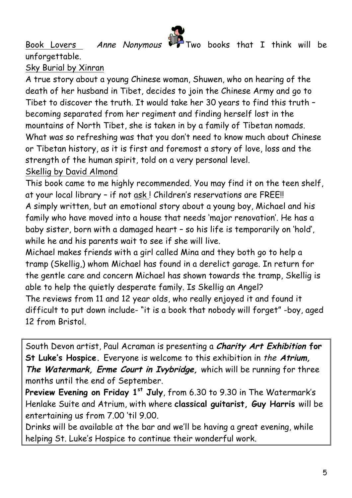

Book Lovers Anne Nonymous Two books that I think will be

Sky Burial by Xinran

unforgettable.

A true story about a young Chinese woman, Shuwen, who on hearing of the death of her husband in Tibet, decides to join the Chinese Army and go to Tibet to discover the truth. It would take her 30 years to find this truth – becoming separated from her regiment and finding herself lost in the mountains of North Tibet, she is taken in by a family of Tibetan nomads. What was so refreshing was that you don't need to know much about Chinese or Tibetan history, as it is first and foremost a story of love, loss and the strength of the human spirit, told on a very personal level. Skellig by David Almond

This book came to me highly recommended. You may find it on the teen shelf, at your local library – if not ask ! Children's reservations are FREE!! A simply written, but an emotional story about a young boy, Michael and his family who have moved into a house that needs 'major renovation'. He has a baby sister, born with a damaged heart – so his life is temporarily on 'hold', while he and his parents wait to see if she will live.

Michael makes friends with a girl called Mina and they both go to help a tramp (Skellig,) whom Michael has found in a derelict garage. In return for the gentle care and concern Michael has shown towards the tramp, Skellig is able to help the quietly desperate family. Is Skellig an Angel? The reviews from 11 and 12 year olds, who really enjoyed it and found it difficult to put down include- "it is a book that nobody will forget" -boy, aged 12 from Bristol.

South Devon artist, Paul Acraman is presenting a **Charity Art Exhibition for St Luke's Hospice.** Everyone is welcome to this exhibition in the **Atrium, The Watermark, Erme Court in Ivybridge,** which will be running for three months until the end of September.

**Preview Evening on Friday 1st July**, from 6.30 to 9.30 in The Watermark's Henlake Suite and Atrium, with where **classical guitarist, Guy Harris** will be entertaining us from 7.00 'til 9.00.

Drinks will be available at the bar and we'll be having a great evening, while helping St. Luke's Hospice to continue their wonderful work.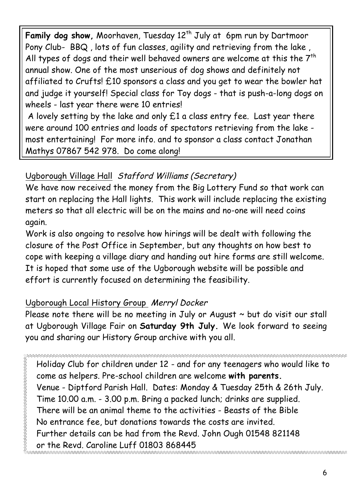Family dog show, Moorhaven, Tuesday 12<sup>th</sup> July at 6pm run by Dartmoor Pony Club- BBQ , lots of fun classes, agility and retrieving from the lake , All types of dogs and their well behaved owners are welcome at this the  $7<sup>th</sup>$ annual show. One of the most unserious of dog shows and definitely not affiliated to Crufts! £10 sponsors a class and you get to wear the bowler hat and judge it yourself! Special class for Toy dogs - that is push-a-long dogs on wheels - last year there were 10 entries!

A lovely setting by the lake and only £1 a class entry fee. Last year there were around 100 entries and loads of spectators retrieving from the lake most entertaining! For more info. and to sponsor a class contact Jonathan Mathys 07867 542 978. Do come along!

# Ugborough Village Hall Stafford Williams (Secretary)

We have now received the money from the Big Lottery Fund so that work can start on replacing the Hall lights. This work will include replacing the existing meters so that all electric will be on the mains and no-one will need coins again.

Work is also ongoing to resolve how hirings will be dealt with following the closure of the Post Office in September, but any thoughts on how best to cope with keeping a village diary and handing out hire forms are still welcome. It is hoped that some use of the Ugborough website will be possible and effort is currently focused on determining the feasibility.

# Ugborough Local History Group Merryl Docker

E<br>E

Please note there will be no meeting in July or August  $\sim$  but do visit our stall at Ugborough Village Fair on **Saturday 9th July.** We look forward to seeing you and sharing our History Group archive with you all.

Holiday Club for children under 12 - and for any teenagers who would like to come as helpers. Pre-school children are welcome **with parents.**  Venue - Diptford Parish Hall. Dates: Monday & Tuesday 25th & 26th July. Time 10.00 a.m. - 3.00 p.m. Bring a packed lunch; drinks are supplied. There will be an animal theme to the activities - Beasts of the Bible No entrance fee, but donations towards the costs are invited. Further details can be had from the Revd. John Ough 01548 821148 or the Revd. Caroline Luff 01803 868445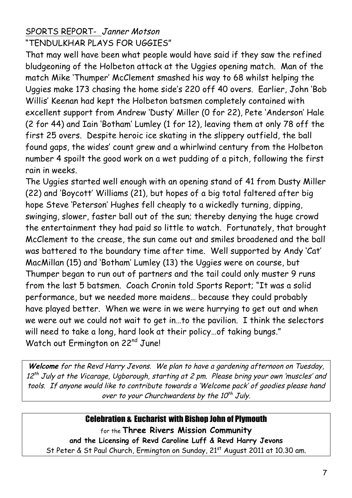### SPORTS REPORT- Janner Motson "TENDULKHAR PLAYS FOR UGGIES"

That may well have been what people would have said if they saw the refined bludgeoning of the Holbeton attack at the Uggies opening match. Man of the match Mike 'Thumper' McClement smashed his way to 68 whilst helping the Uggies make 173 chasing the home side's 220 off 40 overs. Earlier, John 'Bob Willis' Keenan had kept the Holbeton batsmen completely contained with excellent support from Andrew 'Dusty' Miller (0 for 22), Pete 'Anderson' Hale (2 for 44) and Iain 'Botham' Lumley (1 for 12), leaving them at only 78 off the first 25 overs. Despite heroic ice skating in the slippery outfield, the ball found gaps, the wides' count grew and a whirlwind century from the Holbeton number 4 spoilt the good work on a wet pudding of a pitch, following the first rain in weeks.

The Uggies started well enough with an opening stand of 41 from Dusty Miller (22) and 'Boycott' Williams (21), but hopes of a big total faltered after big hope Steve 'Peterson' Hughes fell cheaply to a wickedly turning, dipping, swinging, slower, faster ball out of the sun; thereby denying the huge crowd the entertainment they had paid so little to watch. Fortunately, that brought McClement to the crease, the sun came out and smiles broadened and the ball was battered to the boundary time after time. Well supported by Andy 'Cat' MacMillan (15) and 'Botham' Lumley (13) the Uggies were on course, but Thumper began to run out of partners and the tail could only muster 9 runs from the last 5 batsmen. Coach Cronin told Sports Report; "It was a solid performance, but we needed more maidens… because they could probably have played better. When we were in we were hurrying to get out and when we were out we could not wait to get in…to the pavilion. I think the selectors will need to take a long, hard look at their policy…of taking bungs." Watch out Ermington on 22<sup>nd</sup> June!

**Welcome** for the Revd Harry Jevons. We plan to have a gardening afternoon on Tuesday,  $12^{th}$  July at the Vicarage, Ugborough, starting at 2 pm. Please bring your own 'muscles' and tools. If anyone would like to contribute towards a 'Welcome pack' of goodies please hand over to your Churchwardens by the  $10^{th}$  July.

#### Celebration & Eucharist with Bishop John of Plymouth

for the **Three Rivers Mission Community and the Licensing of Revd Caroline Luff & Revd Harry Jevons** St Peter & St Paul Church, Ermington on Sunday, 21st August 2011 at 10.30 am.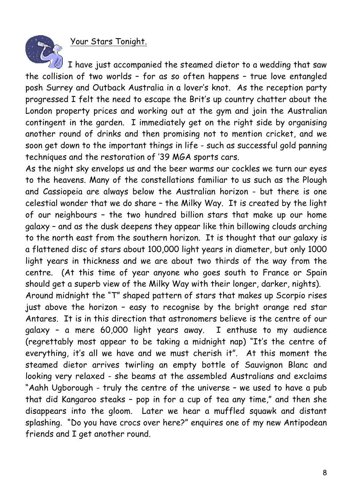Your Stars Tonight.

I have just accompanied the steamed dietor to a wedding that saw the collision of two worlds – for as so often happens – true love entangled posh Surrey and Outback Australia in a lover's knot. As the reception party progressed I felt the need to escape the Brit's up country chatter about the London property prices and working out at the gym and join the Australian contingent in the garden. I immediately get on the right side by organising another round of drinks and then promising not to mention cricket, and we soon get down to the important things in life - such as successful gold panning techniques and the restoration of '39 MGA sports cars.

As the night sky envelops us and the beer warms our cockles we turn our eyes to the heavens. Many of the constellations familiar to us such as the Plough and Cassiopeia are always below the Australian horizon - but there is one celestial wonder that we do share – the Milky Way. It is created by the light of our neighbours – the two hundred billion stars that make up our home galaxy – and as the dusk deepens they appear like thin billowing clouds arching to the north east from the southern horizon. It is thought that our galaxy is a flattened disc of stars about 100,000 light years in diameter, but only 1000 light years in thickness and we are about two thirds of the way from the centre. (At this time of year anyone who goes south to France or Spain should get a superb view of the Milky Way with their longer, darker, nights).

Around midnight the "T" shaped pattern of stars that makes up Scorpio rises just above the horizon – easy to recognise by the bright orange red star Antares. It is in this direction that astronomers believe is the centre of our galaxy – a mere 60,000 light years away. I enthuse to my audience (regrettably most appear to be taking a midnight nap) "It's the centre of everything, it's all we have and we must cherish it". At this moment the steamed dietor arrives twirling an empty bottle of Sauvignon Blanc and looking very relaxed - she beams at the assembled Australians and exclaims "Aahh Ugborough - truly the centre of the universe – we used to have a pub that did Kangaroo steaks – pop in for a cup of tea any time," and then she disappears into the gloom. Later we hear a muffled squawk and distant splashing. "Do you have crocs over here?" enquires one of my new Antipodean friends and I get another round.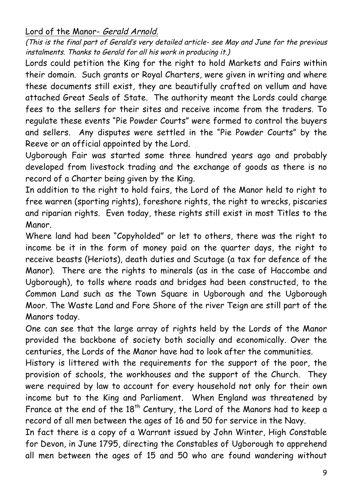Lord of the Manor- Gerald Arnold.

(This is the final part of Gerald's very detailed article- see May and June for the previous instalments. Thanks to Gerald for all his work in producing it.)

Lords could petition the King for the right to hold Markets and Fairs within their domain. Such grants or Royal Charters, were given in writing and where these documents still exist, they are beautifully crafted on vellum and have attached Great Seals of State. The authority meant the Lords could charge fees to the sellers for their sites and receive income from the traders. To regulate these events "Pie Powder Courts" were formed to control the buyers and sellers. Any disputes were settled in the "Pie Powder Courts" by the Reeve or an official appointed by the Lord.

Ugborough Fair was started some three hundred years ago and probably developed from livestock trading and the exchange of goods as there is no record of a Charter being given by the King.

In addition to the right to hold fairs, the Lord of the Manor held to right to free warren (sporting rights), foreshore rights, the right to wrecks, piscaries and riparian rights. Even today, these rights still exist in most Titles to the Manor.

Where land had been "Copyholded" or let to others, there was the right to income be it in the form of money paid on the quarter days, the right to receive beasts (Heriots), death duties and Scutage (a tax for defence of the Manor). There are the rights to minerals (as in the case of Haccombe and Ugborough), to tolls where roads and bridges had been constructed, to the Common Land such as the Town Square in Ugborough and the Ugborough Moor. The Waste Land and Fore Shore of the river Teign are still part of the Manors today.

One can see that the large array of rights held by the Lords of the Manor provided the backbone of society both socially and economically. Over the centuries, the Lords of the Manor have had to look after the communities.

History is littered with the requirements for the support of the poor, the provision of schools, the workhouses and the support of the Church. They were required by law to account for every household not only for their own income but to the King and Parliament. When England was threatened by France at the end of the  $18^{th}$  Century, the Lord of the Manors had to keep a record of all men between the ages of 16 and 50 for service in the Navy.

In fact there is a copy of a Warrant issued by John Winter, High Constable for Devon, in June 1795, directing the Constables of Ugborough to apprehend all men between the ages of 15 and 50 who are found wandering without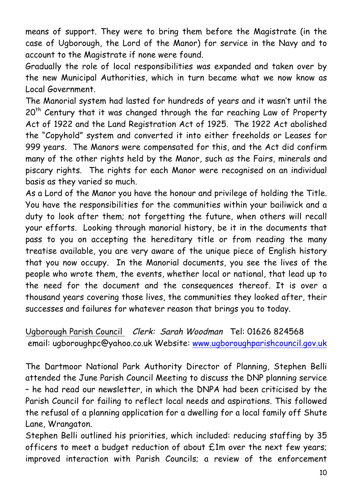means of support. They were to bring them before the Magistrate (in the case of Ugborough, the Lord of the Manor) for service in the Navy and to account to the Magistrate if none were found.

Gradually the role of local responsibilities was expanded and taken over by the new Municipal Authorities, which in turn became what we now know as Local Government.

The Manorial system had lasted for hundreds of years and it wasn't until the 20<sup>th</sup> Century that it was changed through the far reaching Law of Property Act of 1922 and the Land Registration Act of 1925. The 1922 Act abolished the "Copyhold" system and converted it into either freeholds or Leases for 999 years. The Manors were compensated for this, and the Act did confirm many of the other rights held by the Manor, such as the Fairs, minerals and piscary rights. The rights for each Manor were recognised on an individual basis as they varied so much.

As a Lord of the Manor you have the honour and privilege of holding the Title. You have the responsibilities for the communities within your bailiwick and a duty to look after them; not forgetting the future, when others will recall your efforts. Looking through manorial history, be it in the documents that pass to you on accepting the hereditary title or from reading the many treatise available, you are very aware of the unique piece of English history that you now occupy. In the Manorial documents, you see the lives of the people who wrote them, the events, whether local or national, that lead up to the need for the document and the consequences thereof. It is over a thousand years covering those lives, the communities they looked after, their successes and failures for whatever reason that brings you to today.

Ugborough Parish Council Clerk: Sarah Woodman Tel: 01626 824568 email: ugboroughpc@yahoo.co.uk Website: www.ugboroughparishcouncil.gov.uk

The Dartmoor National Park Authority Director of Planning, Stephen Belli attended the June Parish Council Meeting to discuss the DNP planning service – he had read our newsletter, in which the DNPA had been criticised by the Parish Council for failing to reflect local needs and aspirations. This followed the refusal of a planning application for a dwelling for a local family off Shute Lane, Wrangaton.

Stephen Belli outlined his priorities, which included: reducing staffing by 35 officers to meet a budget reduction of about £1m over the next few years; improved interaction with Parish Councils; a review of the enforcement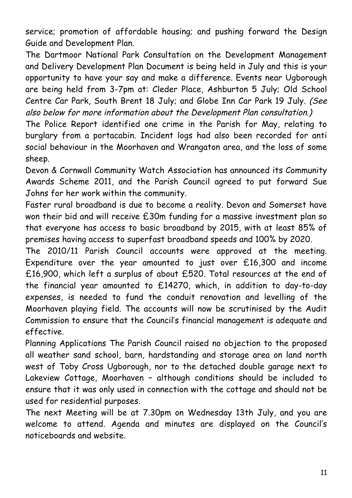service; promotion of affordable housing; and pushing forward the Design Guide and Development Plan.

The Dartmoor National Park Consultation on the Development Management and Delivery Development Plan Document is being held in July and this is your opportunity to have your say and make a difference. Events near Ugborough are being held from 3-7pm at: Cleder Place, Ashburton 5 July; Old School Centre Car Park, South Brent 18 July; and Globe Inn Car Park 19 July. (See also below for more information about the Development Plan consultation.)

The Police Report identified one crime in the Parish for May, relating to burglary from a portacabin. Incident logs had also been recorded for anti social behaviour in the Moorhaven and Wrangaton area, and the loss of some sheep.

Devon & Cornwall Community Watch Association has announced its Community Awards Scheme 2011, and the Parish Council agreed to put forward Sue Johns for her work within the community.

Faster rural broadband is due to become a reality. Devon and Somerset have won their bid and will receive £30m funding for a massive investment plan so that everyone has access to basic broadband by 2015, with at least 85% of premises having access to superfast broadband speeds and 100% by 2020.

The 2010/11 Parish Council accounts were approved at the meeting. Expenditure over the year amounted to just over £16,300 and income £16,900, which left a surplus of about £520. Total resources at the end of the financial year amounted to £14270, which, in addition to day-to-day expenses, is needed to fund the conduit renovation and levelling of the Moorhaven playing field. The accounts will now be scrutinised by the Audit Commission to ensure that the Council's financial management is adequate and effective.

Planning Applications The Parish Council raised no objection to the proposed all weather sand school, barn, hardstanding and storage area on land north west of Toby Cross Ugborough, nor to the detached double garage next to Lakeview Cottage, Moorhaven – although conditions should be included to ensure that it was only used in connection with the cottage and should not be used for residential purposes.

The next Meeting will be at 7.30pm on Wednesday 13th July, and you are welcome to attend. Agenda and minutes are displayed on the Council's noticeboards and website.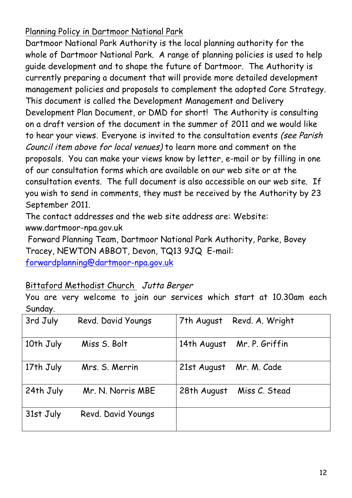## Planning Policy in Dartmoor National Park

Dartmoor National Park Authority is the local planning authority for the whole of Dartmoor National Park. A range of planning policies is used to help guide development and to shape the future of Dartmoor. The Authority is currently preparing a document that will provide more detailed development management policies and proposals to complement the adopted Core Strategy. This document is called the Development Management and Delivery Development Plan Document, or DMD for short! The Authority is consulting on a draft version of the document in the summer of 2011 and we would like to hear your views. Everyone is invited to the consultation events (see Parish Council item above for local venues) to learn more and comment on the proposals. You can make your views know by letter, e-mail or by filling in one of our consultation forms which are available on our web site or at the consultation events. The full document is also accessible on our web site. If you wish to send in comments, they must be received by the Authority by 23 September 2011.

The contact addresses and the web site address are: Website: www.dartmoor-npa.gov.uk

Forward Planning Team, Dartmoor National Park Authority, Parke, Bovey Tracey, NEWTON ABBOT, Devon, TQ13 9JQ E-mail:

forwardplanning@dartmoor-npa.gov.uk

### Bittaford Methodist Church Jutta Berger

You are very welcome to join our services which start at 10.30am each Sunday.

| 3rd July  | Revd. David Youngs | Revd. A. Wright<br>7th August |
|-----------|--------------------|-------------------------------|
| 10th July | Miss S. Bolt       | Mr. P. Griffin<br>14th August |
| 17th July | Mrs. S. Merrin     | Mr. M. Cade<br>21st August    |
| 24th July | Mr. N. Norris MBE  | 28th August<br>Miss C. Stead  |
| 31st July | Revd. David Youngs |                               |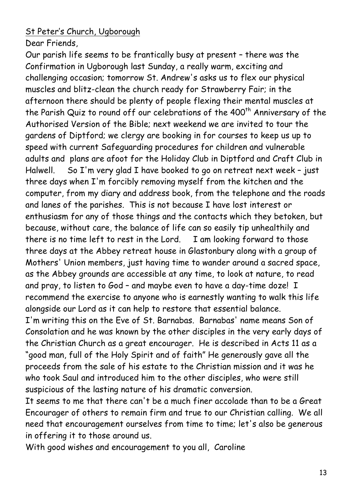### St Peter's Church, Ugborough

Dear Friends,

Our parish life seems to be frantically busy at present – there was the Confirmation in Ugborough last Sunday, a really warm, exciting and challenging occasion; tomorrow St. Andrew's asks us to flex our physical muscles and blitz-clean the church ready for Strawberry Fair; in the afternoon there should be plenty of people flexing their mental muscles at the Parish Quiz to round off our celebrations of the 400<sup>th</sup> Anniversary of the Authorised Version of the Bible; next weekend we are invited to tour the gardens of Diptford; we clergy are booking in for courses to keep us up to speed with current Safeguarding procedures for children and vulnerable adults and plans are afoot for the Holiday Club in Diptford and Craft Club in Halwell. So I'm very glad I have booked to go on retreat next week - just three days when I'm forcibly removing myself from the kitchen and the computer, from my diary and address book, from the telephone and the roads and lanes of the parishes. This is not because I have lost interest or enthusiasm for any of those things and the contacts which they betoken, but because, without care, the balance of life can so easily tip unhealthily and there is no time left to rest in the Lord. I am looking forward to those three days at the Abbey retreat house in Glastonbury along with a group of Mothers' Union members, just having time to wander around a sacred space, as the Abbey grounds are accessible at any time, to look at nature, to read and pray, to listen to God – and maybe even to have a day-time doze! I recommend the exercise to anyone who is earnestly wanting to walk this life alongside our Lord as it can help to restore that essential balance. I'm writing this on the Eve of St. Barnabas. Barnabas' name means Son of

Consolation and he was known by the other disciples in the very early days of the Christian Church as a great encourager. He is described in Acts 11 as a "good man, full of the Holy Spirit and of faith" He generously gave all the proceeds from the sale of his estate to the Christian mission and it was he who took Saul and introduced him to the other disciples, who were still suspicious of the lasting nature of his dramatic conversion.

It seems to me that there can't be a much finer accolade than to be a Great Encourager of others to remain firm and true to our Christian calling. We all need that encouragement ourselves from time to time; let's also be generous in offering it to those around us.

With good wishes and encouragement to you all, Caroline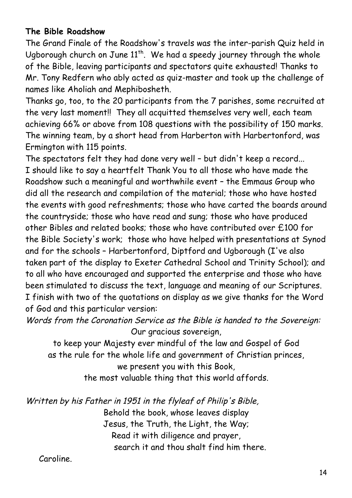### **The Bible Roadshow**

The Grand Finale of the Roadshow's travels was the inter-parish Quiz held in Ugborough church on June  $11^{th}$ . We had a speedy journey through the whole of the Bible, leaving participants and spectators quite exhausted! Thanks to Mr. Tony Redfern who ably acted as quiz-master and took up the challenge of names like Aholiah and Mephibosheth.

Thanks go, too, to the 20 participants from the 7 parishes, some recruited at the very last moment!! They all acquitted themselves very well, each team achieving 66% or above from 108 questions with the possibility of 150 marks. The winning team, by a short head from Harberton with Harbertonford, was Ermington with 115 points.

The spectators felt they had done very well – but didn't keep a record... I should like to say a heartfelt Thank You to all those who have made the Roadshow such a meaningful and worthwhile event – the Emmaus Group who did all the research and compilation of the material; those who have hosted the events with good refreshments; those who have carted the boards around the countryside; those who have read and sung; those who have produced other Bibles and related books; those who have contributed over £100 for the Bible Society's work; those who have helped with presentations at Synod and for the schools – Harbertonford, Diptford and Ugborough (I've also taken part of the display to Exeter Cathedral School and Trinity School); and to all who have encouraged and supported the enterprise and those who have been stimulated to discuss the text, language and meaning of our Scriptures. I finish with two of the quotations on display as we give thanks for the Word of God and this particular version:

Words from the Coronation Service as the Bible is handed to the Sovereign: Our gracious sovereign,

to keep your Majesty ever mindful of the law and Gospel of God as the rule for the whole life and government of Christian princes,

we present you with this Book,

the most valuable thing that this world affords.

Written by his Father in 1951 in the flyleaf of Philip's Bible,

Behold the book, whose leaves display Jesus, the Truth, the Light, the Way; Read it with diligence and prayer, search it and thou shalt find him there.

Caroline.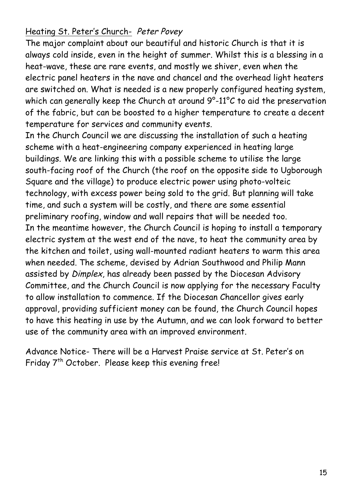### Heating St. Peter's Church- Peter Povey

The major complaint about our beautiful and historic Church is that it is always cold inside, even in the height of summer. Whilst this is a blessing in a heat-wave, these are rare events, and mostly we shiver, even when the electric panel heaters in the nave and chancel and the overhead light heaters are switched on. What is needed is a new properly configured heating system, which can generally keep the Church at around 9°-11°C to aid the preservation of the fabric, but can be boosted to a higher temperature to create a decent temperature for services and community events.

In the Church Council we are discussing the installation of such a heating scheme with a heat-engineering company experienced in heating large buildings. We are linking this with a possible scheme to utilise the large south-facing roof of the Church (the roof on the opposite side to Ugborough Square and the village) to produce electric power using photo-volteic technology, with excess power being sold to the grid. But planning will take time, and such a system will be costly, and there are some essential preliminary roofing, window and wall repairs that will be needed too. In the meantime however, the Church Council is hoping to install a temporary electric system at the west end of the nave, to heat the community area by the kitchen and toilet, using wall-mounted radiant heaters to warm this area when needed. The scheme, devised by Adrian Southwood and Philip Mann assisted by Dimplex, has already been passed by the Diocesan Advisory Committee, and the Church Council is now applying for the necessary Faculty to allow installation to commence. If the Diocesan Chancellor gives early approval, providing sufficient money can be found, the Church Council hopes to have this heating in use by the Autumn, and we can look forward to better use of the community area with an improved environment.

Advance Notice- There will be a Harvest Praise service at St. Peter's on Friday 7<sup>th</sup> October. Please keep this evening free!